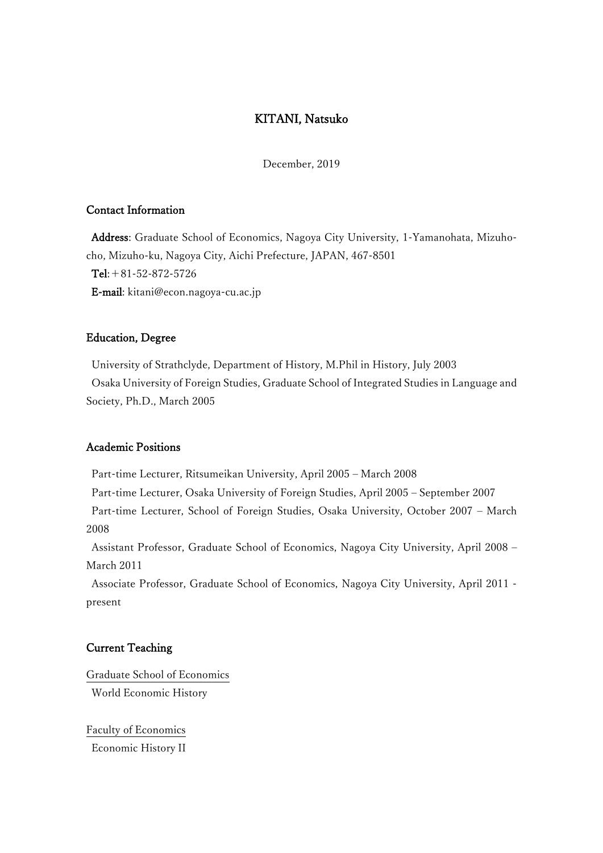## KITANI, Natsuko

December, 2019

### Contact Information

Address: Graduate School of Economics, Nagoya City University, 1-Yamanohata, Mizuhocho, Mizuho-ku, Nagoya City, Aichi Prefecture, JAPAN, 467-8501 Tel:+81-52-872-5726 E-mail: kitani@econ.nagoya-cu.ac.jp

#### Education, Degree

University of Strathclyde, Department of History, M.Phil in History, July 2003 Osaka University of Foreign Studies, Graduate School of Integrated Studies in Language and Society, Ph.D., March 2005

#### Academic Positions

Part-time Lecturer, Ritsumeikan University, April 2005 – March 2008 Part-time Lecturer, Osaka University of Foreign Studies, April 2005 – September 2007 Part-time Lecturer, School of Foreign Studies, Osaka University, October 2007 – March 2008

Assistant Professor, Graduate School of Economics, Nagoya City University, April 2008 – March 2011

Associate Professor, Graduate School of Economics, Nagoya City University, April 2011 present

#### Current Teaching

Graduate School of Economics World Economic History

Faculty of Economics Economic History II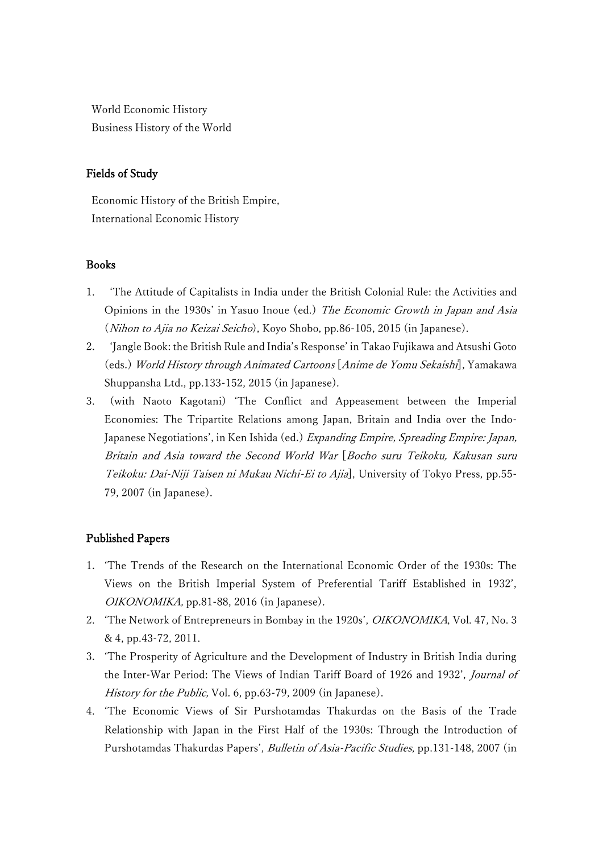World Economic History Business History of the World

### Fields of Study

Economic History of the British Empire, International Economic History

### Books

- 1. 'The Attitude of Capitalists in India under the British Colonial Rule: the Activities and Opinions in the 1930s' in Yasuo Inoue (ed.) The Economic Growth in Japan and Asia (Nihon to Ajia no Keizai Seicho), Koyo Shobo, pp.86-105, 2015 (in Japanese).
- 2. 'Jangle Book: the British Rule and India's Response' in Takao Fujikawa and Atsushi Goto (eds.) World History through Animated Cartoons [Anime de Yomu Sekaishi], Yamakawa Shuppansha Ltd., pp.133-152, 2015 (in Japanese).
- 3. (with Naoto Kagotani) 'The Conflict and Appeasement between the Imperial Economies: The Tripartite Relations among Japan, Britain and India over the Indo-Japanese Negotiations', in Ken Ishida (ed.) Expanding Empire, Spreading Empire: Japan, Britain and Asia toward the Second World War [Bocho suru Teikoku, Kakusan suru Teikoku: Dai-Niji Taisen ni Mukau Nichi-Ei to Ajia], University of Tokyo Press, pp.55- 79, 2007 (in Japanese).

### Published Papers

- 1. 'The Trends of the Research on the International Economic Order of the 1930s: The Views on the British Imperial System of Preferential Tariff Established in 1932', OIKONOMIKA, pp.81-88, 2016 (in Japanese).
- 2. 'The Network of Entrepreneurs in Bombay in the 1920s', OIKONOMIKA, Vol. 47, No. 3 & 4, pp.43-72, 2011.
- 3. 'The Prosperity of Agriculture and the Development of Industry in British India during the Inter-War Period: The Views of Indian Tariff Board of 1926 and 1932', Journal of History for the Public, Vol. 6, pp.63-79, 2009 (in Japanese).
- 4. 'The Economic Views of Sir Purshotamdas Thakurdas on the Basis of the Trade Relationship with Japan in the First Half of the 1930s: Through the Introduction of Purshotamdas Thakurdas Papers', Bulletin of Asia-Pacific Studies, pp.131-148, 2007 (in